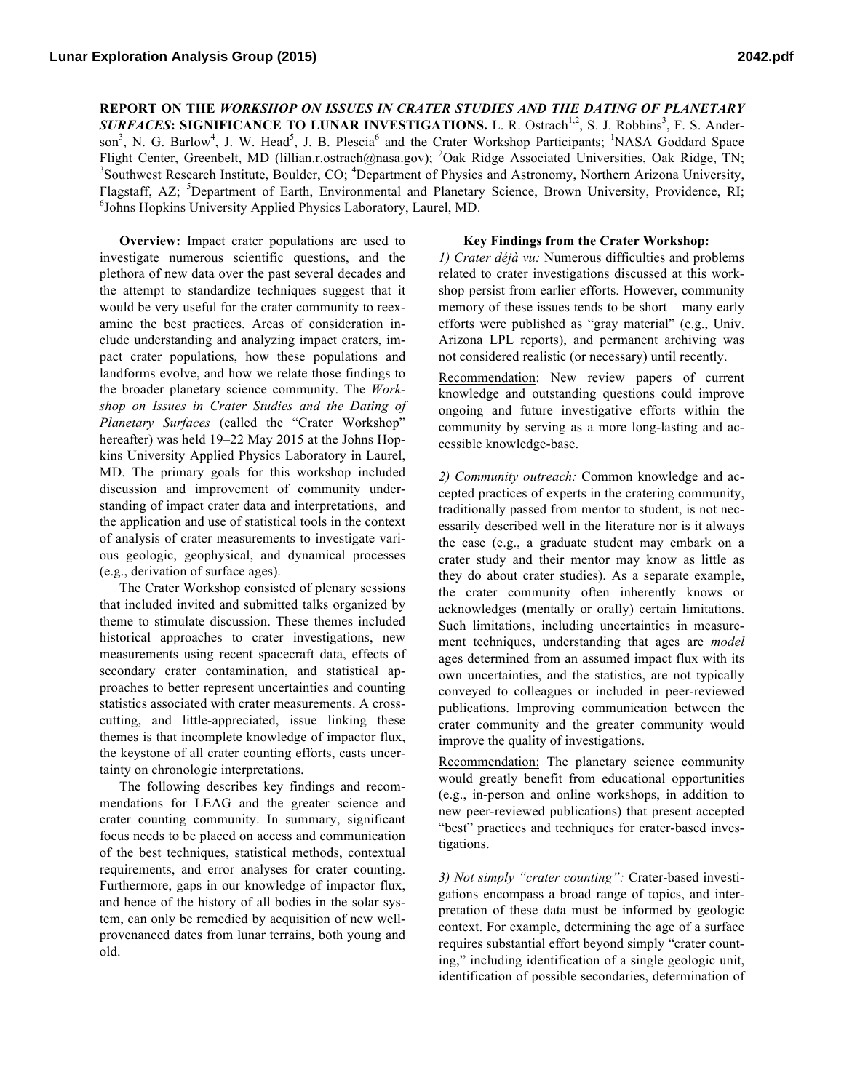**REPORT ON THE** *WORKSHOP ON ISSUES IN CRATER STUDIES AND THE DATING OF PLANETARY*  **SURFACES: SIGNIFICANCE TO LUNAR INVESTIGATIONS.** L. R. Ostrach<sup>1,2</sup>, S. J. Robbins<sup>3</sup>, F. S. Anderson<sup>3</sup>, N. G. Barlow<sup>4</sup>, J. W. Head<sup>5</sup>, J. B. Plescia<sup>6</sup> and the Crater Workshop Participants; <sup>1</sup>NASA Goddard Space Flight Center, Greenbelt, MD (lillian.r.ostrach@nasa.gov); <sup>2</sup>Oak Ridge Associated Universities, Oak Ridge, TN;<br><sup>3</sup>Southwest Research Institute, Boulder, CO: <sup>4</sup>Denetment of Physics and Astronomy Northern Arizona Universit Southwest Research Institute, Boulder, CO; <sup>4</sup>Department of Physics and Astronomy, Northern Arizona University, Flagstaff, AZ; <sup>5</sup>Department of Earth, Environmental and Planetary Science, Brown University, Providence, RI;<br><sup>6</sup>Johns Henking University Applied Physics Lebertery Laurel MD <sup>6</sup>Johns Hopkins University Applied Physics Laboratory, Laurel, MD.

**Overview:** Impact crater populations are used to investigate numerous scientific questions, and the plethora of new data over the past several decades and the attempt to standardize techniques suggest that it would be very useful for the crater community to reexamine the best practices. Areas of consideration include understanding and analyzing impact craters, impact crater populations, how these populations and landforms evolve, and how we relate those findings to the broader planetary science community. The *Workshop on Issues in Crater Studies and the Dating of Planetary Surfaces* (called the "Crater Workshop" hereafter) was held 19–22 May 2015 at the Johns Hopkins University Applied Physics Laboratory in Laurel, MD. The primary goals for this workshop included discussion and improvement of community understanding of impact crater data and interpretations, and the application and use of statistical tools in the context of analysis of crater measurements to investigate various geologic, geophysical, and dynamical processes (e.g., derivation of surface ages).

The Crater Workshop consisted of plenary sessions that included invited and submitted talks organized by theme to stimulate discussion. These themes included historical approaches to crater investigations, new measurements using recent spacecraft data, effects of secondary crater contamination, and statistical approaches to better represent uncertainties and counting statistics associated with crater measurements. A crosscutting, and little-appreciated, issue linking these themes is that incomplete knowledge of impactor flux, the keystone of all crater counting efforts, casts uncertainty on chronologic interpretations.

The following describes key findings and recommendations for LEAG and the greater science and crater counting community. In summary, significant focus needs to be placed on access and communication of the best techniques, statistical methods, contextual requirements, and error analyses for crater counting. Furthermore, gaps in our knowledge of impactor flux, and hence of the history of all bodies in the solar system, can only be remedied by acquisition of new wellprovenanced dates from lunar terrains, both young and old.

## **Key Findings from the Crater Workshop:**

*1) Crater déjà vu:* Numerous difficulties and problems related to crater investigations discussed at this workshop persist from earlier efforts. However, community memory of these issues tends to be short – many early efforts were published as "gray material" (e.g., Univ. Arizona LPL reports), and permanent archiving was not considered realistic (or necessary) until recently.

Recommendation: New review papers of current knowledge and outstanding questions could improve ongoing and future investigative efforts within the community by serving as a more long-lasting and accessible knowledge-base.

*2) Community outreach:* Common knowledge and accepted practices of experts in the cratering community, traditionally passed from mentor to student, is not necessarily described well in the literature nor is it always the case (e.g., a graduate student may embark on a crater study and their mentor may know as little as they do about crater studies). As a separate example, the crater community often inherently knows or acknowledges (mentally or orally) certain limitations. Such limitations, including uncertainties in measurement techniques, understanding that ages are *model* ages determined from an assumed impact flux with its own uncertainties, and the statistics, are not typically conveyed to colleagues or included in peer-reviewed publications. Improving communication between the crater community and the greater community would improve the quality of investigations.

Recommendation: The planetary science community would greatly benefit from educational opportunities (e.g., in-person and online workshops, in addition to new peer-reviewed publications) that present accepted "best" practices and techniques for crater-based investigations.

*3) Not simply "crater counting":* Crater-based investigations encompass a broad range of topics, and interpretation of these data must be informed by geologic context. For example, determining the age of a surface requires substantial effort beyond simply "crater counting," including identification of a single geologic unit, identification of possible secondaries, determination of